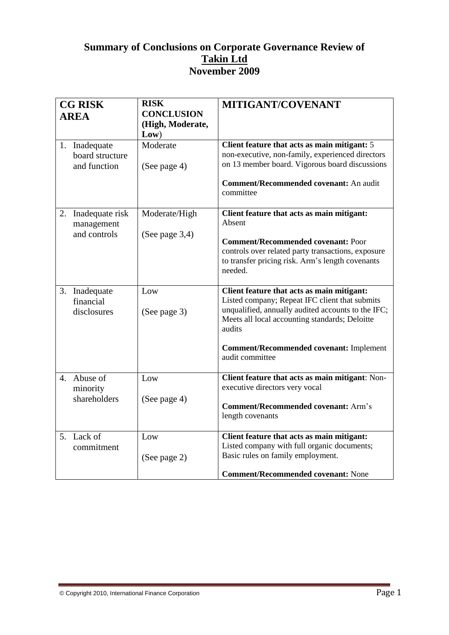# **Summary of Conclusions on Corporate Governance Review of Takin Ltd November 2009**

| <b>CG RISK</b><br><b>AREA</b> |                                                  | <b>RISK</b><br><b>CONCLUSION</b>   | MITIGANT/COVENANT                                                                                                                                                                                                                                                                   |
|-------------------------------|--------------------------------------------------|------------------------------------|-------------------------------------------------------------------------------------------------------------------------------------------------------------------------------------------------------------------------------------------------------------------------------------|
|                               |                                                  | (High, Moderate,<br>Low)           |                                                                                                                                                                                                                                                                                     |
|                               | 1. Inadequate<br>board structure<br>and function | Moderate<br>(See page 4)           | Client feature that acts as main mitigant: 5<br>non-executive, non-family, experienced directors<br>on 13 member board. Vigorous board discussions<br>Comment/Recommended covenant: An audit<br>committee                                                                           |
| 2.                            | Inadequate risk<br>management<br>and controls    | Moderate/High<br>(See page $3,4$ ) | Client feature that acts as main mitigant:<br>Absent<br><b>Comment/Recommended covenant: Poor</b><br>controls over related party transactions, exposure<br>to transfer pricing risk. Arm's length covenants<br>needed.                                                              |
| 3.                            | Inadequate<br>financial<br>disclosures           | Low<br>(See page 3)                | Client feature that acts as main mitigant:<br>Listed company; Repeat IFC client that submits<br>unqualified, annually audited accounts to the IFC;<br>Meets all local accounting standards; Deloitte<br>audits<br><b>Comment/Recommended covenant: Implement</b><br>audit committee |
| 4.                            | Abuse of<br>minority<br>shareholders             | Low<br>(See page 4)                | Client feature that acts as main mitigant: Non-<br>executive directors very vocal<br><b>Comment/Recommended covenant: Arm's</b><br>length covenants                                                                                                                                 |
|                               | 5. Lack of<br>commitment                         | Low<br>(See page 2)                | Client feature that acts as main mitigant:<br>Listed company with full organic documents;<br>Basic rules on family employment.<br><b>Comment/Recommended covenant: None</b>                                                                                                         |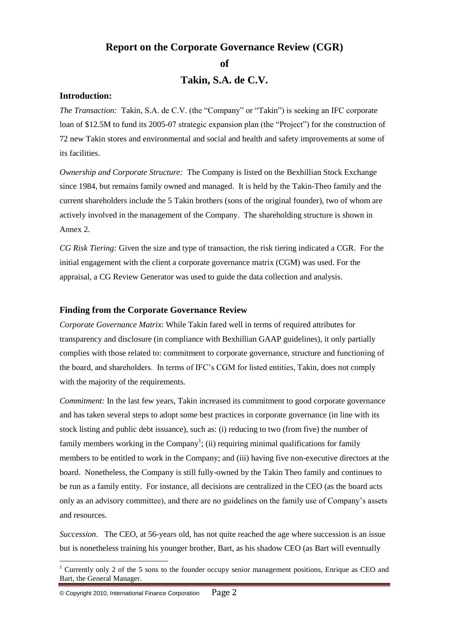## **Report on the Corporate Governance Review (CGR)**

**of**

**Takin, S.A. de C.V.**

### **Introduction:**

*The Transaction:* Takin, S.A. de C.V. (the "Company" or "Takin") is seeking an IFC corporate loan of \$12.5M to fund its 2005-07 strategic expansion plan (the "Project") for the construction of 72 new Takin stores and environmental and social and health and safety improvements at some of its facilities.

*Ownership and Corporate Structure:* The Company is listed on the Bexhillian Stock Exchange since 1984, but remains family owned and managed. It is held by the Takin-Theo family and the current shareholders include the 5 Takin brothers (sons of the original founder), two of whom are actively involved in the management of the Company. The shareholding structure is shown in Annex 2.

*CG Risk Tiering:* Given the size and type of transaction, the risk tiering indicated a CGR. For the initial engagement with the client a corporate governance matrix (CGM) was used. For the appraisal, a CG Review Generator was used to guide the data collection and analysis.

#### **Finding from the Corporate Governance Review**

*Corporate Governance Matrix*: While Takin fared well in terms of required attributes for transparency and disclosure (in compliance with Bexhillian GAAP guidelines), it only partially complies with those related to: commitment to corporate governance, structure and functioning of the board, and shareholders. In terms of IFC's CGM for listed entities, Takin, does not comply with the majority of the requirements.

*Commitment:* In the last few years, Takin increased its commitment to good corporate governance and has taken several steps to adopt some best practices in corporate governance (in line with its stock listing and public debt issuance), such as: (i) reducing to two (from five) the number of family members working in the Company<sup>1</sup>; (ii) requiring minimal qualifications for family members to be entitled to work in the Company; and (iii) having five non-executive directors at the board. Nonetheless, the Company is still fully-owned by the Takin Theo family and continues to be run as a family entity. For instance, all decisions are centralized in the CEO (as the board acts only as an advisory committee), and there are no guidelines on the family use of Company's assets and resources.

*Succession*. The CEO, at 56-years old, has not quite reached the age where succession is an issue but is nonetheless training his younger brother, Bart, as his shadow CEO (as Bart will eventually

<u>.</u>

<sup>&</sup>lt;sup>1</sup> Currently only 2 of the 5 sons to the founder occupy senior management positions, Enrique as CEO and Bart, the General Manager.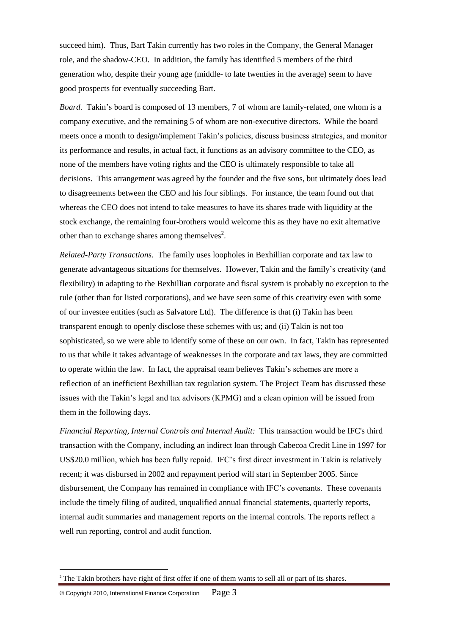succeed him). Thus, Bart Takin currently has two roles in the Company, the General Manager role, and the shadow-CEO. In addition, the family has identified 5 members of the third generation who, despite their young age (middle- to late twenties in the average) seem to have good prospects for eventually succeeding Bart.

*Board.* Takin's board is composed of 13 members, 7 of whom are family-related, one whom is a company executive, and the remaining 5 of whom are non-executive directors. While the board meets once a month to design/implement Takin's policies, discuss business strategies, and monitor its performance and results, in actual fact, it functions as an advisory committee to the CEO, as none of the members have voting rights and the CEO is ultimately responsible to take all decisions. This arrangement was agreed by the founder and the five sons, but ultimately does lead to disagreements between the CEO and his four siblings. For instance, the team found out that whereas the CEO does not intend to take measures to have its shares trade with liquidity at the stock exchange, the remaining four-brothers would welcome this as they have no exit alternative other than to exchange shares among themselves<sup>2</sup>.

*Related-Party Transactions*. The family uses loopholes in Bexhillian corporate and tax law to generate advantageous situations for themselves. However, Takin and the family's creativity (and flexibility) in adapting to the Bexhillian corporate and fiscal system is probably no exception to the rule (other than for listed corporations), and we have seen some of this creativity even with some of our investee entities (such as Salvatore Ltd). The difference is that (i) Takin has been transparent enough to openly disclose these schemes with us; and (ii) Takin is not too sophisticated, so we were able to identify some of these on our own. In fact, Takin has represented to us that while it takes advantage of weaknesses in the corporate and tax laws, they are committed to operate within the law. In fact, the appraisal team believes Takin's schemes are more a reflection of an inefficient Bexhillian tax regulation system. The Project Team has discussed these issues with the Takin's legal and tax advisors (KPMG) and a clean opinion will be issued from them in the following days.

*Financial Reporting, Internal Controls and Internal Audit:* This transaction would be IFC's third transaction with the Company, including an indirect loan through Cabecoa Credit Line in 1997 for US\$20.0 million, which has been fully repaid. IFC's first direct investment in Takin is relatively recent; it was disbursed in 2002 and repayment period will start in September 2005. Since disbursement, the Company has remained in compliance with IFC's covenants. These covenants include the timely filing of audited, unqualified annual financial statements, quarterly reports, internal audit summaries and management reports on the internal controls. The reports reflect a well run reporting, control and audit function.

<u>.</u>

<sup>&</sup>lt;sup>2</sup> The Takin brothers have right of first offer if one of them wants to sell all or part of its shares.